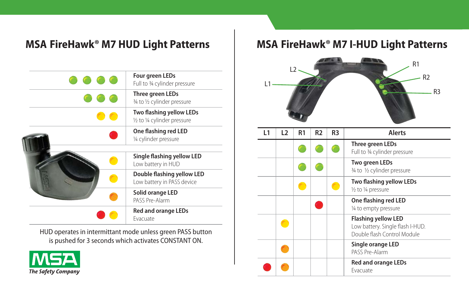

HUD operates in intermittant mode unless green PASS button is pushed for 3 seconds which activates CONSTANT ON.



## MSA FireHawk<sup>®</sup> M7 HUD Light Patterns | MSA FireHawk® M7 I-HUD Light Patterns



| L1 | L2 | R <sub>1</sub> | R <sub>2</sub> | R3 | Alerts                                                                                        |
|----|----|----------------|----------------|----|-----------------------------------------------------------------------------------------------|
|    |    |                |                |    | Three green LEDs<br>Full to 3⁄4 cylinder pressure                                             |
|    |    |                |                |    | Two green LEDs<br>3⁄4 to 1/2 cylinder pressure                                                |
|    |    |                |                |    | Two flashing yellow LEDs<br>1/2 to 1/4 pressure                                               |
|    |    |                |                |    | One flashing red LED<br>1/4 to empty pressure                                                 |
|    |    |                |                |    | <b>Flashing yellow LED</b><br>Low battery. Single flash I-HUD.<br>Double flash Control Module |
|    |    |                |                |    | Single orange LED<br>PASS Pre-Alarm                                                           |
|    |    |                |                |    | <b>Red and orange LEDs</b><br>Fvacuate                                                        |